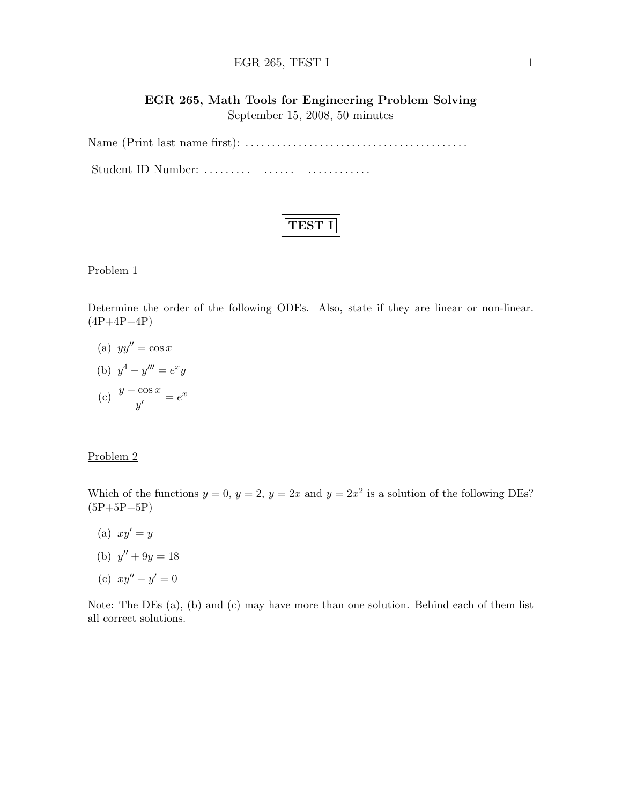### EGR 265, TEST I  $1$

# EGR 265, Math Tools for Engineering Problem Solving September 15, 2008, 50 minutes

Name (Print last name first): . . . . . . . . . . . . . . . . . . . . . . . . . . . . . . . . . . . . . . . . . . Student ID Number: ......... ....... ................

#### Problem 1

Determine the order of the following ODEs. Also, state if they are linear or non-linear.  $(4P+4P+4P)$ 

- (a)  $yy'' = \cos x$
- (b)  $y^4 y''' = e^x y$
- (c)  $\frac{y \cos x}{y'} = e^x$

#### Problem 2

Which of the functions  $y = 0$ ,  $y = 2$ ,  $y = 2x$  and  $y = 2x^2$  is a solution of the following DEs?  $(5P+5P+5P)$ 

- (a)  $xy'=y$
- (b)  $y'' + 9y = 18$
- (c)  $xy'' y' = 0$

Note: The DEs (a), (b) and (c) may have more than one solution. Behind each of them list all correct solutions.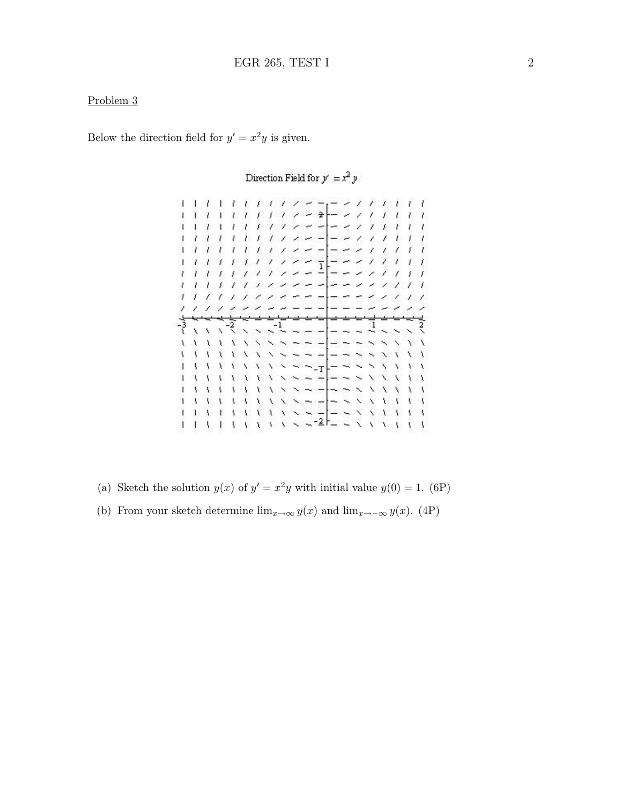### Problem 3

Below the direction field for  $y' = x^2y$  is given.

 $-2$  $\overline{\phantom{a}}$ T. Ÿ. Ť £ X.  $\lambda$  $\overline{\phantom{a}}$  $\overline{\phantom{a}}$ x Ÿ.  $l + l$  $\overline{\phantom{a}}$ Ù.  $-21$ ï  $\lambda$ z Ą  $\overline{\phantom{a}}$ Ŧ Ŧ ŧ z.  $-11$ t. ŧ.  $\overline{1}$ ż  $\sim$   $-$  - - 1  $\ell$  $\overline{t}$  $\mathcal{L}_{\mathcal{E}}$  $\boldsymbol{t}$ T, ŧ ż €  $\frac{1}{2}$  $\overline{1}$  $t-t-t-t$  $\overline{\phantom{a}}$  $\gamma \times \gamma$  $\boldsymbol{I}$ Ť.  $\prime$   $\prime$ Ÿ.  $\mathcal{E}_\perp$  $1111$  $\overline{\phantom{a}}$  $\overline{\phantom{a}}$  $\mathcal{L}$  $\prime$  $\prime$ 7 Ï. f.  $\lambda$  $1 - 1$  $\mathcal{L}$ بمذ x  $111$  $\overline{\phantom{a}}$  $\prime$ 1  $\overline{1}$ १  $\ddot{\phantom{0}}$ Ÿ. Ń a. ï  $\sim$   $-$ ¥ Ń  $\ddot{}$ ويبس ۱  $- \overline{ }$ Y Ÿ Ŋ  $\overline{\phantom{a}}$ ×,  $\mathbf{A}$ V  $- - 8$ Ã.  $\sim$   $\sim$   $\sim$   $\sim$   $\sim$   $\sim$   $\sim$  $\mathcal{A}$  $\sqrt{1}$  $\mathcal{R}$  $\mathcal{A}$  $\mathbf{A}$  $\mathbf{A}$ X A. Ŷ. 

Direction Field for  $y' = x^2 \, y$ 

- (a) Sketch the solution  $y(x)$  of  $y' = x^2y$  with initial value  $y(0) = 1$ . (6P)
- (b) From your sketch determine  $\lim_{x\to\infty} y(x)$  and  $\lim_{x\to-\infty} y(x)$ . (4P)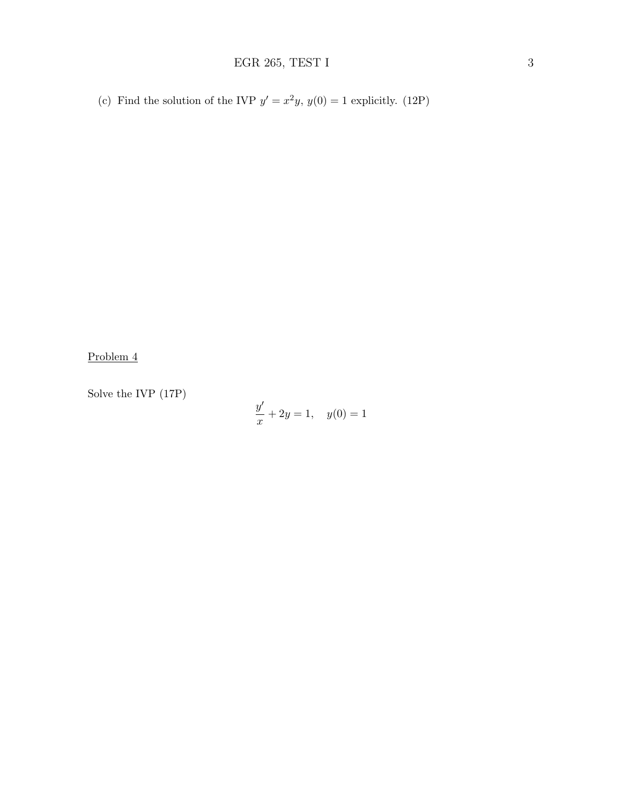(c) Find the solution of the IVP  $y' = x^2y$ ,  $y(0) = 1$  explicitly. (12P)

Problem 4

Solve the IVP (17P)

$$
\frac{y'}{x} + 2y = 1, \quad y(0) = 1
$$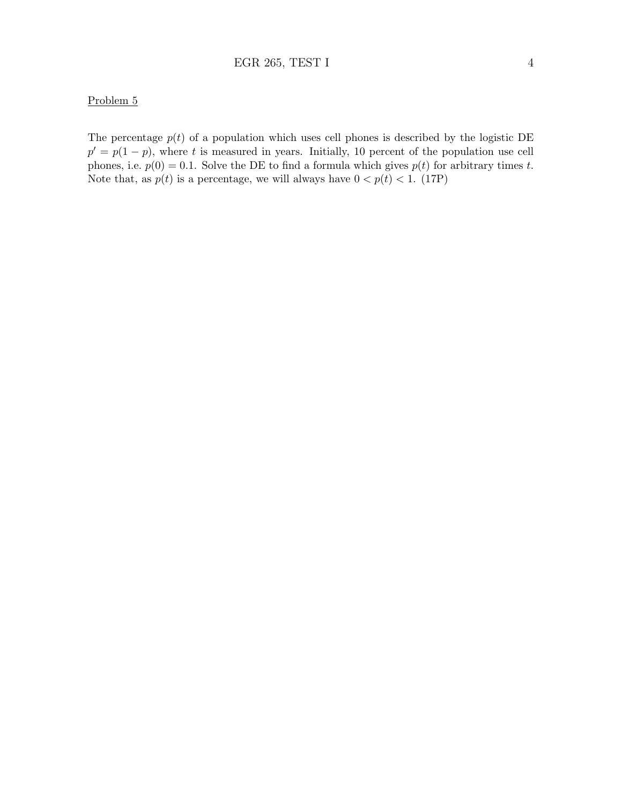## Problem 5

The percentage  $p(t)$  of a population which uses cell phones is described by the logistic DE  $p' = p(1-p)$ , where t is measured in years. Initially, 10 percent of the population use cell phones, i.e.  $p(0) = 0.1$ . Solve the DE to find a formula which gives  $p(t)$  for arbitrary times t. Note that, as  $p(t)$  is a percentage, we will always have  $0 < p(t) < 1$ . (17P)